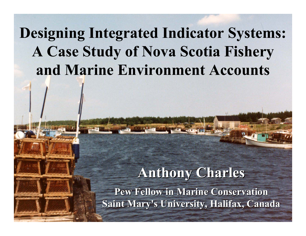## **Designing Integrated Indicator Systems: A Case Study of Nova Scotia Fishery and Marine Environment Accounts**

### **Anthony Charles Anthony Charles**

**Pew Fellow in Marine Conservation Pew Fellow in Marine Conservation Saint Mary's University, Halifax, Canada**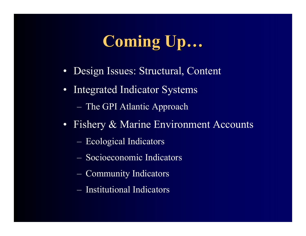### **Coming Up Coming Up …**

- Design Issues: Structural, Content
- Integrated Indicator Systems
	- $\mathcal{L}_{\mathcal{A}}$ The GPI Atlantic Approach
- Fishery & Marine Environment Accounts
	- $\mathcal{L}_{\mathcal{A}}$ Ecological Indicators
	- Socioeconomic Indicators
	- $\mathcal{L}_{\mathcal{A}}$ Community Indicators
	- Institutional Indicators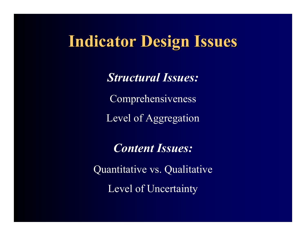### **Indicator Design Issues Indicator Design Issues**

*Structural Issues:*

Comprehensiveness

Level of Aggregation

*Content Issues:*

Quantitative vs. Qualitative Level of Uncertainty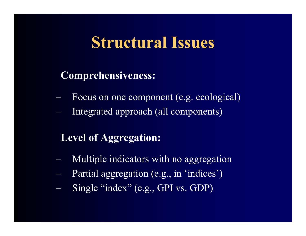### **Structural Issues Structural Issues**

### **Comprehensiveness:**

- Focus on one component (e.g. ecological)
- Integrated approach (all components)

### **Level of Aggregation:**

- –Multiple indicators with no aggregation
- and the contract of the contract of Partial aggregation (e.g., in 'indices')
- and the contract of the contract of Single "index" (e.g., GPI vs. GDP)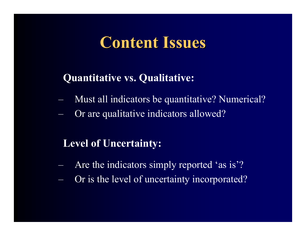### **Content Issues Content Issues**

### **Quantitative vs. Qualitative:**

- –Must all indicators be quantitative? Numerical?
- –Or are qualitative indicators allowed?

### **Level of Uncertainty:**

- –Are the indicators simply reported 'as is'?
- –Or is the level of uncertainty incorporated?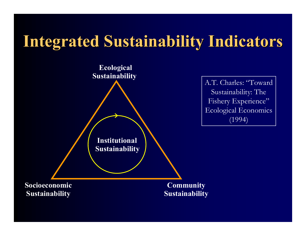## **Integrated Sustainability Indicators Integrated Sustainability Indicators**

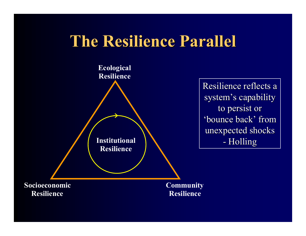### **The Resilience Parallel The Resilience Parallel**



Resilience reflects a system's capability to persist or 'bounce back' from unexpected shocks - Holling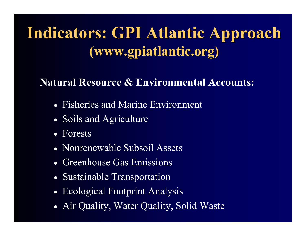## **Indicators: GPI Atlantic Approach Indicators: GPI Atlantic Approach (www.gpiatlantic.org) (www.gpiatlantic.org)**

### **Natural Resource & Environmental Accounts:**

- Fisheries and Marine Environment
- Soils and Agriculture
- Forests
- Nonrenewable Subsoil Assets
- Greenhouse Gas Emissions
- Sustainable Transportation
- Ecological Footprint Analysis
- Air Quality, Water Quality, Solid Waste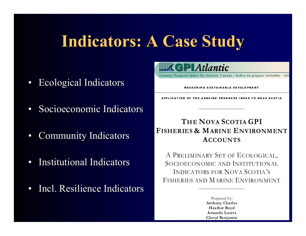## **Indicators: A Case Study Indicators: A Case Study**

- $\bullet$ Ecological Indicators Ecological Indicators
- $\bullet$ • Socioeconomic Indicators
- •Community Indicators
- •• Institutional Indicators
- $\bullet$ • Incl. Resilience Indicators



Genuine Progress Index for Atlantic Canada / Indice de progrés véritable - Atla

#### MEASURIN G SUSTAIN ABLE DE VELO PMENT

LICATION OF THE GENUINE PROGRESS INDEX TO NOVA SCOTIA

#### **THE NOVA SCOTIA GPIFISHERIES & MARINE ENVIRONMENTACCOUNTS**

A PRELIMINARY SET OF ECOLOGICAL, SOCIOECONOMIC AND INSTITUTIONALINDICATORS FOR NOVA SCOTIA'SFISHERIES AND MARINE ENVIRONMENT

> Prepared by: **Anthony Charles Heath er Boyd Amanda LaversCheryl Benjamin**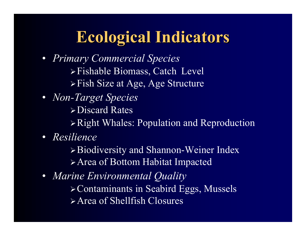## **Ecological Indicators Ecological Indicators**

- *Primary Commercial Species* Fishable Biomass, Catch Level Fish Size at Age, Age Structure
- *Non-Target Species* Discard RatesRight Whales: Population and Reproduction
- *Resilience*

Biodiversity and Shannon-Weiner Index Area of Bottom Habitat Impacted

• *Marine Environmental Quality* Contaminants in Seabird Eggs, Mussels Area of Shellfish Closures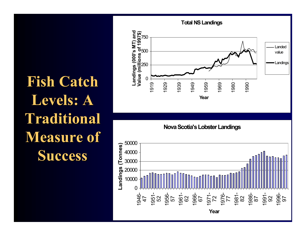**Fish Catch** Levels: A **Traditional Traditional Measure of Success Success**



**Nova Scotia's Lobster Landin gs** 

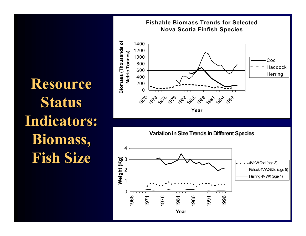**Resource Resource Status Indicators: Indicators: Biomass, Biomass, Fish Size Fish Size**





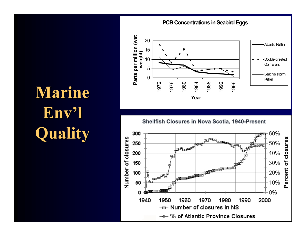### **Marine Env ' l Quality Quality**

# **PCB Concentrations in Seabird Eggs**



Shellfish Closures in Nova Scotia, 1940-Present

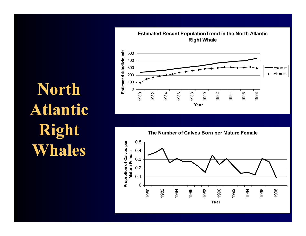**North Atlantic Atlantic Right Whales**



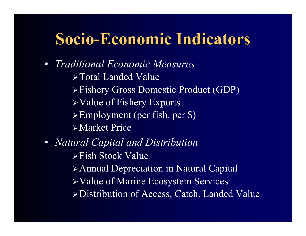## **Socio-Economic Indicators**

- *Traditional Economic Measures*
	- Total Landed Value
	- Fishery Gross Domestic Product (GDP)
	- Value of Fishery Exports
	- $\triangleright$  Employment (per fish, per \$)
	- Market Price
- • *Natural Capital and Distribution*
	- Fish Stock Value
	- Annual Depreciation in Natural Capital
	- Value of Marine Ecosystem Services
	- Distribution of Access, Catch, Landed Value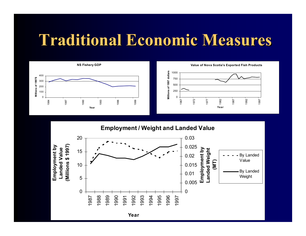### **Traditional Economic Measures Traditional Economic Measures**



**Value of Nova Scotia's Exported Fish Products**



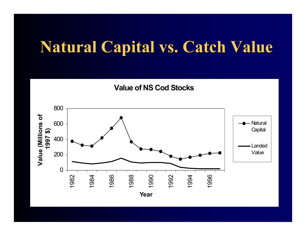### **Natural Capital vs. Catch Value Natural Capital vs. Catch Value**

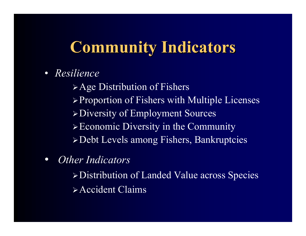## **Community Indicators Community Indicators**

 $\bullet$ *Resilience*

> $\triangleright$  Age Distribution of Fishers <sup>¾</sup>Proportion of Fishers with Multiple Licenses <sup>¾</sup>Diversity of Employment Sources <sup>¾</sup>Economic Diversity in the Community <sup>¾</sup>Debt Levels among Fishers, Bankruptcies

 $\bullet$ *Other Indicators*

> <sup>¾</sup>Distribution of Landed Value across Species ¾Accident Claims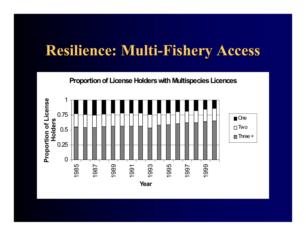### **Resilience: Multi-Fishery Access**

**Proportion of License Holders with Multispecies Licences**

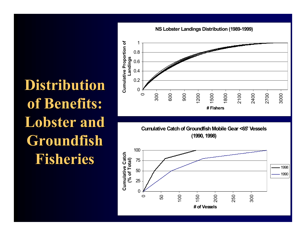# **Distribution Distribution**  of **Benefits: Lobster and Lobster and Groundfish Groundfish Fisheries Fisheries**





**Cumulative Catch of Groundfish Mobile Gear <65' Vessels (1990, 1998)** 

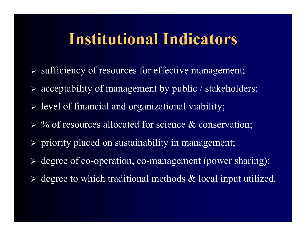## **Institutional Indicators Institutional Indicators**

- ¾ sufficiency of resources for effective management;
- ¾ acceptability of management by public / stakeholders;
- ¾ level of financial and organizational viability;
- $\triangleright$  % of resources allocated for science & conservation;
- ¾ priority placed on sustainability in management;
- ¾ degree of co-operation, co-management (power sharing);
- $\triangleright$  degree to which traditional methods  $\&$  local input utilized.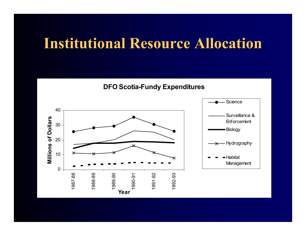### **Institutional Resource Allocation Institutional Resource Allocation**

**DFO Scotia-Fundy Expenditures**

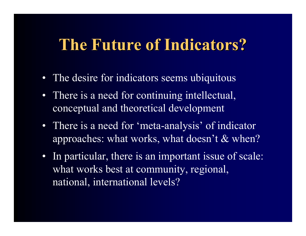## **The Future of Indicators? The Future of Indicators?**

- The desire for indicators seems ubiquitous
- There is a need for continuing intellectual, conceptual and theoretical development
- There is a need for 'meta-analysis' of indicator approaches: what works, what doesn't & when?
- In particular, there is an important issue of scale: what works best at community, regional, national, international levels?